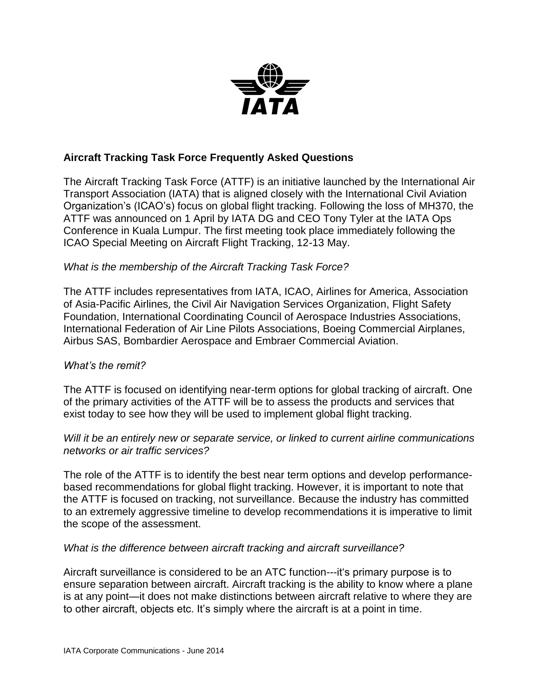

### **Aircraft Tracking Task Force Frequently Asked Questions**

The Aircraft Tracking Task Force (ATTF) is an initiative launched by the International Air Transport Association (IATA) that is aligned closely with the International Civil Aviation Organization's (ICAO's) focus on global flight tracking. Following the loss of MH370, the ATTF was announced on 1 April by IATA DG and CEO Tony Tyler at the IATA Ops Conference in Kuala Lumpur. The first meeting took place immediately following the ICAO Special Meeting on Aircraft Flight Tracking, 12-13 May.

### *What is the membership of the Aircraft Tracking Task Force?*

The ATTF includes representatives from IATA, ICAO, Airlines for America, Association of Asia-Pacific Airlines, the Civil Air Navigation Services Organization, Flight Safety Foundation, International Coordinating Council of Aerospace Industries Associations, International Federation of Air Line Pilots Associations, Boeing Commercial Airplanes, Airbus SAS, Bombardier Aerospace and Embraer Commercial Aviation.

### *What's the remit?*

The ATTF is focused on identifying near-term options for global tracking of aircraft. One of the primary activities of the ATTF will be to assess the products and services that exist today to see how they will be used to implement global flight tracking.

### *Will it be an entirely new or separate service, or linked to current airline communications networks or air traffic services?*

The role of the ATTF is to identify the best near term options and develop performancebased recommendations for global flight tracking. However, it is important to note that the ATTF is focused on tracking, not surveillance. Because the industry has committed to an extremely aggressive timeline to develop recommendations it is imperative to limit the scope of the assessment.

### *What is the difference between aircraft tracking and aircraft surveillance?*

Aircraft surveillance is considered to be an ATC function---it's primary purpose is to ensure separation between aircraft. Aircraft tracking is the ability to know where a plane is at any point—it does not make distinctions between aircraft relative to where they are to other aircraft, objects etc. It's simply where the aircraft is at a point in time.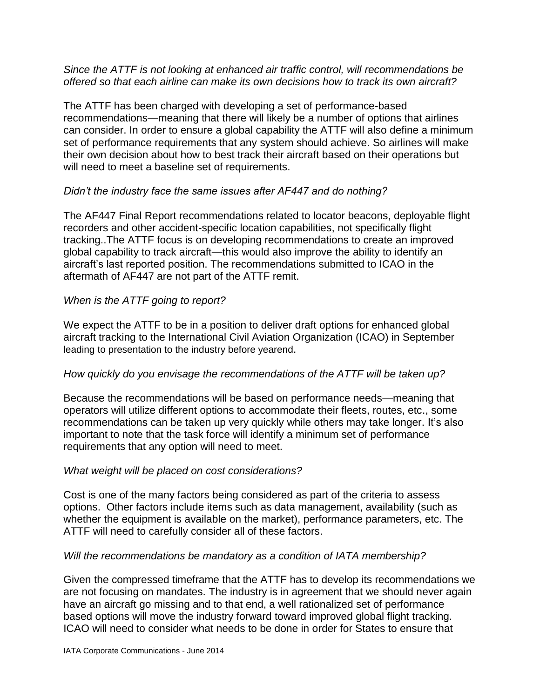*Since the ATTF is not looking at enhanced air traffic control, will recommendations be offered so that each airline can make its own decisions how to track its own aircraft?*

The ATTF has been charged with developing a set of performance-based recommendations—meaning that there will likely be a number of options that airlines can consider. In order to ensure a global capability the ATTF will also define a minimum set of performance requirements that any system should achieve. So airlines will make their own decision about how to best track their aircraft based on their operations but will need to meet a baseline set of requirements.

# *Didn't the industry face the same issues after AF447 and do nothing?*

The AF447 Final Report recommendations related to locator beacons, deployable flight recorders and other accident-specific location capabilities, not specifically flight tracking..The ATTF focus is on developing recommendations to create an improved global capability to track aircraft—this would also improve the ability to identify an aircraft's last reported position. The recommendations submitted to ICAO in the aftermath of AF447 are not part of the ATTF remit.

# *When is the ATTF going to report?*

We expect the ATTF to be in a position to deliver draft options for enhanced global aircraft tracking to the International Civil Aviation Organization (ICAO) in September leading to presentation to the industry before yearend.

### *How quickly do you envisage the recommendations of the ATTF will be taken up?*

Because the recommendations will be based on performance needs—meaning that operators will utilize different options to accommodate their fleets, routes, etc., some recommendations can be taken up very quickly while others may take longer. It's also important to note that the task force will identify a minimum set of performance requirements that any option will need to meet.

### *What weight will be placed on cost considerations?*

Cost is one of the many factors being considered as part of the criteria to assess options. Other factors include items such as data management, availability (such as whether the equipment is available on the market), performance parameters, etc. The ATTF will need to carefully consider all of these factors.

### *Will the recommendations be mandatory as a condition of IATA membership?*

Given the compressed timeframe that the ATTF has to develop its recommendations we are not focusing on mandates. The industry is in agreement that we should never again have an aircraft go missing and to that end, a well rationalized set of performance based options will move the industry forward toward improved global flight tracking. ICAO will need to consider what needs to be done in order for States to ensure that